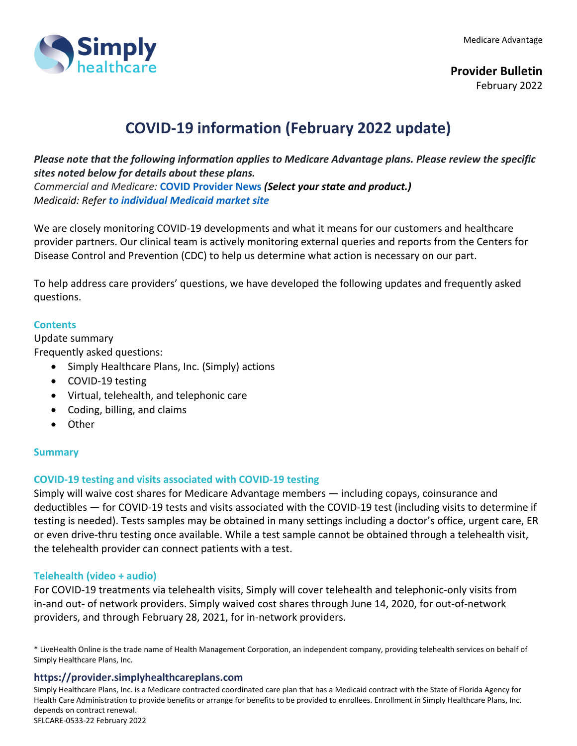

# **COVID-19 information (February 2022 update)**

*Please note that the following information applies to Medicare Advantage plans. Please review the specific sites noted below for details about these plans. Commercial and Medicare:* **[COVID Provider News](https://www.anthem.com/coronavirus/providers/)** *(Select your state and product.)*

*Medicaid: Refer to individual Medicaid market site*

We are closely monitoring COVID-19 developments and what it means for our customers and healthcare provider partners. Our clinical team is actively monitoring external queries and reports from the Centers for Disease Control and Prevention (CDC) to help us determine what action is necessary on our part.

To help address care providers' questions, we have developed the following updates and frequently asked questions.

#### **Contents**

Update summary Frequently asked questions:

• Simply Healthcare Plans, Inc. (Simply) actions

- COVID-19 testing
- Virtual, telehealth, and telephonic care
- Coding, billing, and claims
- Other

# **Summary**

#### **COVID-19 testing and visits associated with COVID-19 testing**

Simply will waive cost shares for Medicare Advantage members — including copays, coinsurance and deductibles — for COVID-19 tests and visits associated with the COVID-19 test (including visits to determine if testing is needed). Tests samples may be obtained in many settings including a doctor's office, urgent care, ER or even drive-thru testing once available. While a test sample cannot be obtained through a telehealth visit, the telehealth provider can connect patients with a test.

#### **Telehealth (video + audio)**

For COVID-19 treatments via telehealth visits, Simply will cover telehealth and telephonic-only visits from in-and out- of network providers. Simply waived cost shares through June 14, 2020, for out-of-network providers, and through February 28, 2021, for in-network providers.

\* LiveHealth Online is the trade name of Health Management Corporation, an independent company, providing telehealth services on behalf of Simply Healthcare Plans, Inc.

#### **https://provider.simplyhealthcareplans.com**

Simply Healthcare Plans, Inc. is a Medicare contracted coordinated care plan that has a Medicaid contract with the State of Florida Agency for Health Care Administration to provide benefits or arrange for benefits to be provided to enrollees. Enrollment in Simply Healthcare Plans, Inc. depends on contract renewal. SFLCARE-0533-22 February 2022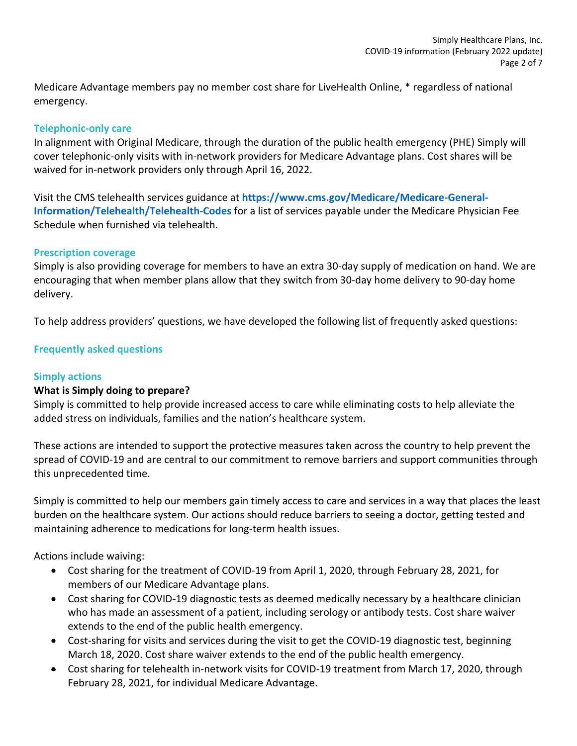Medicare Advantage members pay no member cost share for LiveHealth Online, \* regardless of national emergency.

#### **Telephonic-only care**

In alignment with Original Medicare, through the duration of the public health emergency (PHE) Simply will cover telephonic-only visits with in-network providers for Medicare Advantage plans. Cost shares will be waived for in-network providers only through April 16, 2022.

Visit the CMS telehealth services guidance at **[https://www.cms.gov/Medicare/Medicare-General-](https://www.cms.gov/Medicare/Medicare-General-Information/Telehealth/Telehealth-Codes)[Information/Telehealth/Telehealth-Codes](https://www.cms.gov/Medicare/Medicare-General-Information/Telehealth/Telehealth-Codes)** for a list of services payable under the Medicare Physician Fee Schedule when furnished via telehealth.

#### **Prescription coverage**

Simply is also providing coverage for members to have an extra 30-day supply of medication on hand. We are encouraging that when member plans allow that they switch from 30-day home delivery to 90-day home delivery.

To help address providers' questions, we have developed the following list of frequently asked questions:

# **Frequently asked questions**

#### **Simply actions**

#### **What is Simply doing to prepare?**

Simply is committed to help provide increased access to care while eliminating costs to help alleviate the added stress on individuals, families and the nation's healthcare system.

These actions are intended to support the protective measures taken across the country to help prevent the spread of COVID-19 and are central to our commitment to remove barriers and support communities through this unprecedented time.

Simply is committed to help our members gain timely access to care and services in a way that places the least burden on the healthcare system. Our actions should reduce barriers to seeing a doctor, getting tested and maintaining adherence to medications for long-term health issues.

Actions include waiving:

- Cost sharing for the treatment of COVID-19 from April 1, 2020, through February 28, 2021, for members of our Medicare Advantage plans.
- Cost sharing for COVID-19 diagnostic tests as deemed medically necessary by a healthcare clinician who has made an assessment of a patient, including serology or antibody tests. Cost share waiver extends to the end of the public health emergency.
- Cost-sharing for visits and services during the visit to get the COVID-19 diagnostic test, beginning March 18, 2020. Cost share waiver extends to the end of the public health emergency.
- Cost sharing for telehealth in-network visits for COVID-19 treatment from March 17, 2020, through February 28, 2021, for individual Medicare Advantage.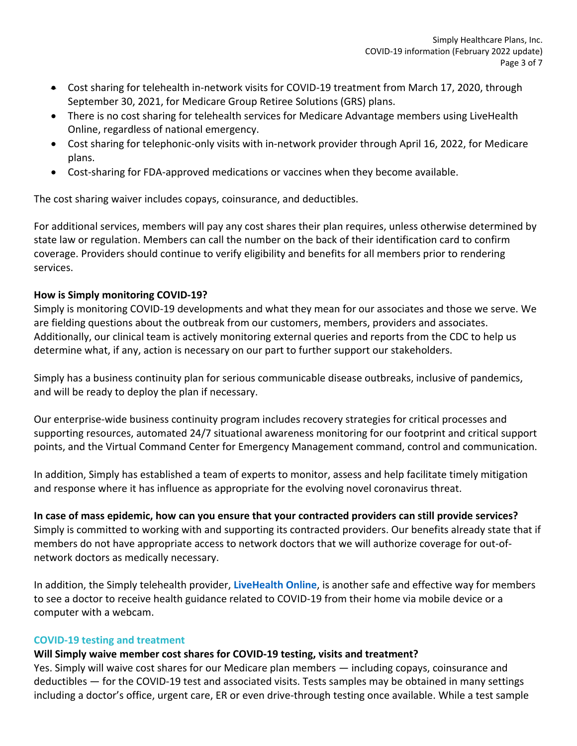- Cost sharing for telehealth in-network visits for COVID-19 treatment from March 17, 2020, through September 30, 2021, for Medicare Group Retiree Solutions (GRS) plans.
- There is no cost sharing for telehealth services for Medicare Advantage members using LiveHealth Online, regardless of national emergency.
- Cost sharing for telephonic-only visits with in-network provider through April 16, 2022, for Medicare plans.
- Cost-sharing for FDA-approved medications or vaccines when they become available.

The cost sharing waiver includes copays, coinsurance, and deductibles.

For additional services, members will pay any cost shares their plan requires, unless otherwise determined by state law or regulation. Members can call the number on the back of their identification card to confirm coverage. Providers should continue to verify eligibility and benefits for all members prior to rendering services.

# **How is Simply monitoring COVID-19?**

Simply is monitoring COVID-19 developments and what they mean for our associates and those we serve. We are fielding questions about the outbreak from our customers, members, providers and associates. Additionally, our clinical team is actively monitoring external queries and reports from the CDC to help us determine what, if any, action is necessary on our part to further support our stakeholders.

Simply has a business continuity plan for serious communicable disease outbreaks, inclusive of pandemics, and will be ready to deploy the plan if necessary.

Our enterprise-wide business continuity program includes recovery strategies for critical processes and supporting resources, automated 24/7 situational awareness monitoring for our footprint and critical support points, and the Virtual Command Center for Emergency Management command, control and communication.

In addition, Simply has established a team of experts to monitor, assess and help facilitate timely mitigation and response where it has influence as appropriate for the evolving novel coronavirus threat.

# **In case of mass epidemic, how can you ensure that your contracted providers can still provide services?**

Simply is committed to working with and supporting its contracted providers. Our benefits already state that if members do not have appropriate access to network doctors that we will authorize coverage for out-ofnetwork doctors as medically necessary.

In addition, the Simply telehealth provider, **[LiveHealth Online](http://www.livehealthonline.com/)**, is another safe and effective way for members to see a doctor to receive health guidance related to COVID-19 from their home via mobile device or a computer with a webcam.

# **COVID-19 testing and treatment**

# **Will Simply waive member cost shares for COVID-19 testing, visits and treatment?**

Yes. Simply will waive cost shares for our Medicare plan members — including copays, coinsurance and deductibles — for the COVID-19 test and associated visits. Tests samples may be obtained in many settings including a doctor's office, urgent care, ER or even drive-through testing once available. While a test sample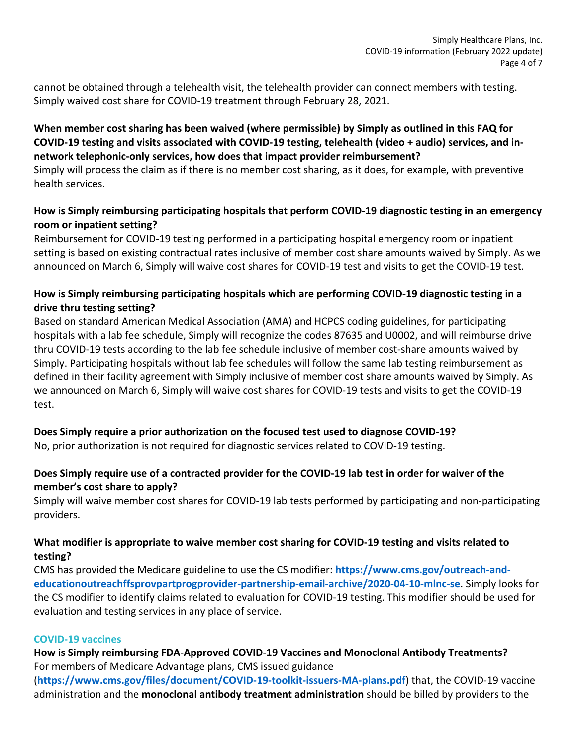cannot be obtained through a telehealth visit, the telehealth provider can connect members with testing. Simply waived cost share for COVID-19 treatment through February 28, 2021.

# **When member cost sharing has been waived (where permissible) by Simply as outlined in this FAQ for COVID-19 testing and visits associated with COVID-19 testing, telehealth (video + audio) services, and innetwork telephonic-only services, how does that impact provider reimbursement?**

Simply will process the claim as if there is no member cost sharing, as it does, for example, with preventive health services.

# **How is Simply reimbursing participating hospitals that perform COVID-19 diagnostic testing in an emergency room or inpatient setting?**

Reimbursement for COVID-19 testing performed in a participating hospital emergency room or inpatient setting is based on existing contractual rates inclusive of member cost share amounts waived by Simply. As we announced on March 6, Simply will waive cost shares for COVID-19 test and visits to get the COVID-19 test.

# **How is Simply reimbursing participating hospitals which are performing COVID-19 diagnostic testing in a drive thru testing setting?**

Based on standard American Medical Association (AMA) and HCPCS coding guidelines, for participating hospitals with a lab fee schedule, Simply will recognize the codes 87635 and U0002, and will reimburse drive thru COVID-19 tests according to the lab fee schedule inclusive of member cost-share amounts waived by Simply. Participating hospitals without lab fee schedules will follow the same lab testing reimbursement as defined in their facility agreement with Simply inclusive of member cost share amounts waived by Simply. As we announced on March 6, Simply will waive cost shares for COVID-19 tests and visits to get the COVID-19 test.

# **Does Simply require a prior authorization on the focused test used to diagnose COVID-19?**

No, prior authorization is not required for diagnostic services related to COVID-19 testing.

# **Does Simply require use of a contracted provider for the COVID-19 lab test in order for waiver of the member's cost share to apply?**

Simply will waive member cost shares for COVID-19 lab tests performed by participating and non-participating providers.

# **What modifier is appropriate to waive member cost sharing for COVID-19 testing and visits related to testing?**

CMS has provided the Medicare guideline to use the CS modifier: **[https://www.cms.gov/outreach-and](https://www.cms.gov/outreach-and-educationoutreachffsprovpartprogprovider-partnership-email-archive/2020-04-10-mlnc-se)[educationoutreachffsprovpartprogprovider-partnership-email-archive/2020-04-10-mlnc-se](https://www.cms.gov/outreach-and-educationoutreachffsprovpartprogprovider-partnership-email-archive/2020-04-10-mlnc-se)**. Simply looks for the CS modifier to identify claims related to evaluation for COVID-19 testing. This modifier should be used for evaluation and testing services in any place of service.

#### **COVID-19 vaccines**

**How is Simply reimbursing FDA-Approved COVID-19 Vaccines and Monoclonal Antibody Treatments?** For members of Medicare Advantage plans, CMS issued guidance

(**<https://www.cms.gov/files/document/COVID-19-toolkit-issuers-MA-plans.pdf>**) that, the COVID-19 vaccine administration and the **monoclonal antibody treatment administration** should be billed by providers to the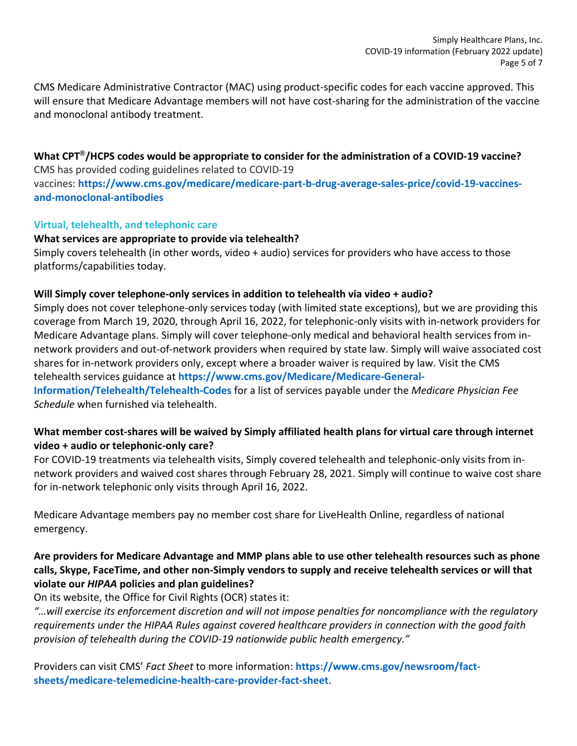CMS Medicare Administrative Contractor (MAC) using product-specific codes for each vaccine approved. This will ensure that Medicare Advantage members will not have cost-sharing for the administration of the vaccine and monoclonal antibody treatment.

#### **What CPT®/HCPS codes would be appropriate to consider for the administration of a COVID-19 vaccine?** CMS has provided coding guidelines related to COVID-19

vaccines: **[https://www.cms.gov/medicare/medicare-part-b-drug-average-sales-price/covid-19-vaccines](https://www.cms.gov/medicare/medicare-part-b-drug-average-sales-price/covid-19-vaccines-and-monoclonal-antibodies)[and-monoclonal-antibodies](https://www.cms.gov/medicare/medicare-part-b-drug-average-sales-price/covid-19-vaccines-and-monoclonal-antibodies)**

# **Virtual, telehealth, and telephonic care**

# **What services are appropriate to provide via telehealth?**

Simply covers telehealth (in other words, video + audio) services for providers who have access to those platforms/capabilities today.

# **Will Simply cover telephone-only services in addition to telehealth via video + audio?**

Simply does not cover telephone-only services today (with limited state exceptions), but we are providing this coverage from March 19, 2020, through April 16, 2022, for telephonic-only visits with in-network providers for Medicare Advantage plans. Simply will cover telephone-only medical and behavioral health services from innetwork providers and out-of-network providers when required by state law. Simply will waive associated cost shares for in-network providers only, except where a broader waiver is required by law. Visit the CMS telehealth services guidance at **[https://www.cms.gov/Medicare/Medicare-General-](https://www.cms.gov/Medicare/Medicare-General-Information/Telehealth/Telehealth-Codes)[Information/Telehealth/Telehealth-Codes](https://www.cms.gov/Medicare/Medicare-General-Information/Telehealth/Telehealth-Codes)** for a list of services payable under the *Medicare Physician Fee* 

*Schedule* when furnished via telehealth.

# **What member cost-shares will be waived by Simply affiliated health plans for virtual care through internet video + audio or telephonic-only care?**

For COVID-19 treatments via telehealth visits, Simply covered telehealth and telephonic-only visits from innetwork providers and waived cost shares through February 28, 2021. Simply will continue to waive cost share for in-network telephonic only visits through April 16, 2022.

Medicare Advantage members pay no member cost share for LiveHealth Online, regardless of national emergency.

# **Are providers for Medicare Advantage and MMP plans able to use other telehealth resources such as phone calls, Skype, FaceTime, and other non-Simply vendors to supply and receive telehealth services or will that violate our** *HIPAA* **policies and plan guidelines?**

On its website, the Office for Civil Rights (OCR) states it:

*"…will exercise its enforcement discretion and will not impose penalties for noncompliance with the regulatory requirements under the HIPAA Rules against covered healthcare providers in connection with the good faith provision of telehealth during the COVID-19 nationwide public health emergency."*

Providers can visit CMS' *Fact Sheet* to more information: **[https://www.cms.gov/newsroom/fact](https://www.cms.gov/newsroom/fact-sheets/medicare-telemedicine-health-care-provider-fact-sheet)[sheets/medicare-telemedicine-health-care-provider-fact-sheet](https://www.cms.gov/newsroom/fact-sheets/medicare-telemedicine-health-care-provider-fact-sheet)**.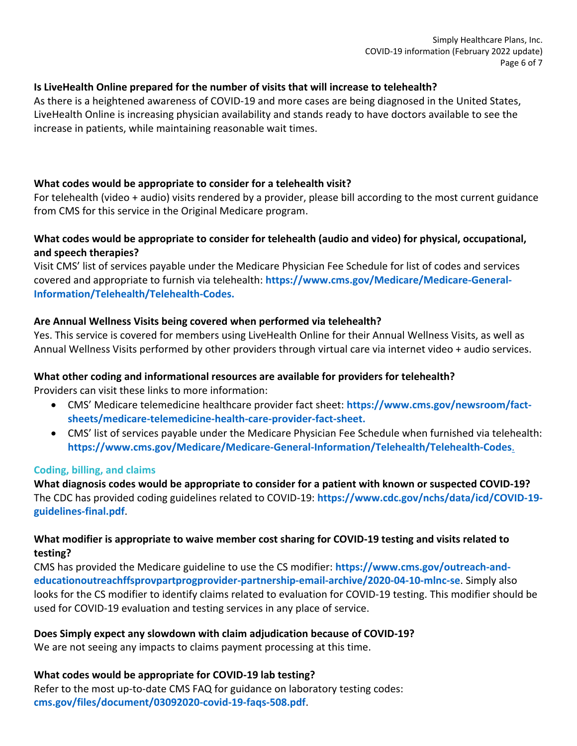#### **Is LiveHealth Online prepared for the number of visits that will increase to telehealth?**

As there is a heightened awareness of COVID-19 and more cases are being diagnosed in the United States, LiveHealth Online is increasing physician availability and stands ready to have doctors available to see the increase in patients, while maintaining reasonable wait times.

#### **What codes would be appropriate to consider for a telehealth visit?**

For telehealth (video + audio) visits rendered by a provider, please bill according to the most current guidance from CMS for this service in the Original Medicare program.

# **What codes would be appropriate to consider for telehealth (audio and video) for physical, occupational, and speech therapies?**

Visit CMS' list of services payable under the Medicare Physician Fee Schedule for list of codes and services covered and appropriate to furnish via telehealth: **[https://www.cms.gov/Medicare/Medicare-General-](https://www.cms.gov/Medicare/Medicare-General-Information/Telehealth/Telehealth-Codes)[Information/Telehealth/Telehealth-Codes.](https://www.cms.gov/Medicare/Medicare-General-Information/Telehealth/Telehealth-Codes)**

#### **Are Annual Wellness Visits being covered when performed via telehealth?**

Yes. This service is covered for members using LiveHealth Online for their Annual Wellness Visits, as well as Annual Wellness Visits performed by other providers through virtual care via internet video + audio services.

#### **What other coding and informational resources are available for providers for telehealth?**

Providers can visit these links to more information:

- CMS' Medicare telemedicine healthcare provider fact sheet: **[https://www.cms.gov/newsroom/fact](https://www.cms.gov/newsroom/fact-sheets/medicare-telemedicine-health-care-provider-fact-sheet)[sheets/medicare-telemedicine-health-care-provider-fact-sheet.](https://www.cms.gov/newsroom/fact-sheets/medicare-telemedicine-health-care-provider-fact-sheet)**
- CMS' list of services payable under the Medicare Physician Fee Schedule when furnished via telehealth: **<https://www.cms.gov/Medicare/Medicare-General-Information/Telehealth/Telehealth-Codes>**.

#### **Coding, billing, and claims**

**What diagnosis codes would be appropriate to consider for a patient with known or suspected COVID-19?**  The CDC has provided coding guidelines related to COVID-19: **[https://www.cdc.gov/nchs/data/icd/COVID-19](https://www.cdc.gov/nchs/data/icd/COVID-19-guidelines-final.pdf) [guidelines-final.pdf](https://www.cdc.gov/nchs/data/icd/COVID-19-guidelines-final.pdf)**.

# **What modifier is appropriate to waive member cost sharing for COVID-19 testing and visits related to testing?**

CMS has provided the Medicare guideline to use the CS modifier: **[https://www.cms.gov/outreach-and](https://www.cms.gov/outreach-and-educationoutreachffsprovpartprogprovider-partnership-email-archive/2020-04-10-mlnc-se)[educationoutreachffsprovpartprogprovider-partnership-email-archive/2020-04-10-mlnc-se](https://www.cms.gov/outreach-and-educationoutreachffsprovpartprogprovider-partnership-email-archive/2020-04-10-mlnc-se)**. Simply also looks for the CS modifier to identify claims related to evaluation for COVID-19 testing. This modifier should be used for COVID-19 evaluation and testing services in any place of service.

#### **Does Simply expect any slowdown with claim adjudication because of COVID-19?**

We are not seeing any impacts to claims payment processing at this time.

#### **What codes would be appropriate for COVID-19 lab testing?**

Refer to the most up-to-date CMS FAQ for guidance on laboratory testing codes: **[cms.gov/files/document/03092020-covid-19-faqs-508.pdf](file:///C:/Users/AC93523/AppData/Local/Microsoft/Windows/INetCache/Content.Outlook/VPLQSD57/cms.gov/files/document/03092020-covid-19-faqs-508.pdf)**.